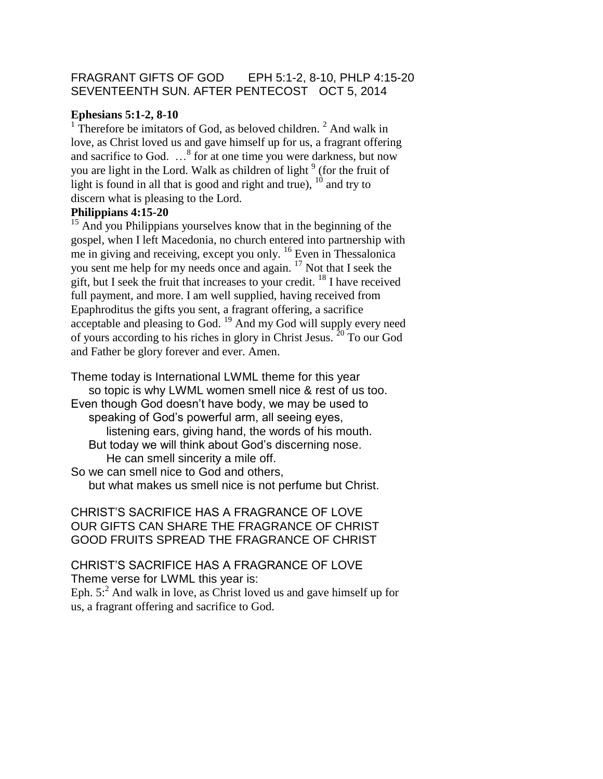## FRAGRANT GIFTS OF GOD EPH 5:1-2, 8-10, PHLP 4:15-20 SEVENTEENTH SUN. AFTER PENTECOST OCT 5, 2014

#### **Ephesians 5:1-2, 8-10**

<sup>1</sup> Therefore be imitators of God, as beloved children.<sup>2</sup> And walk in love, as Christ loved us and gave himself up for us, a fragrant offering and sacrifice to God.  $\ldots$ <sup>8</sup> for at one time you were darkness, but now you are light in the Lord. Walk as children of light <sup>9</sup> (for the fruit of light is found in all that is good and right and true),  $^{10}$  and try to discern what is pleasing to the Lord.

#### **Philippians 4:15-20**

<sup>15</sup> And you Philippians yourselves know that in the beginning of the gospel, when I left Macedonia, no church entered into partnership with me in giving and receiving, except you only. <sup>16</sup> Even in Thessalonica you sent me help for my needs once and again. <sup>17</sup> Not that I seek the gift, but I seek the fruit that increases to your credit.  $18$  I have received full payment, and more. I am well supplied, having received from Epaphroditus the gifts you sent, a fragrant offering, a sacrifice acceptable and pleasing to God. <sup>19</sup> And my God will supply every need of yours according to his riches in glory in Christ Jesus. <sup>20</sup> To our God and Father be glory forever and ever. Amen.

Theme today is International LWML theme for this year so topic is why LWML women smell nice & rest of us too. Even though God doesn't have body, we may be used to speaking of God's powerful arm, all seeing eyes, listening ears, giving hand, the words of his mouth. But today we will think about God's discerning nose. He can smell sincerity a mile off.

So we can smell nice to God and others, but what makes us smell nice is not perfume but Christ.

## CHRIST'S SACRIFICE HAS A FRAGRANCE OF LOVE OUR GIFTS CAN SHARE THE FRAGRANCE OF CHRIST GOOD FRUITS SPREAD THE FRAGRANCE OF CHRIST

CHRIST'S SACRIFICE HAS A FRAGRANCE OF LOVE Theme verse for LWML this year is: Eph.  $5<sup>2</sup>$  And walk in love, as Christ loved us and gave himself up for us, a fragrant offering and sacrifice to God.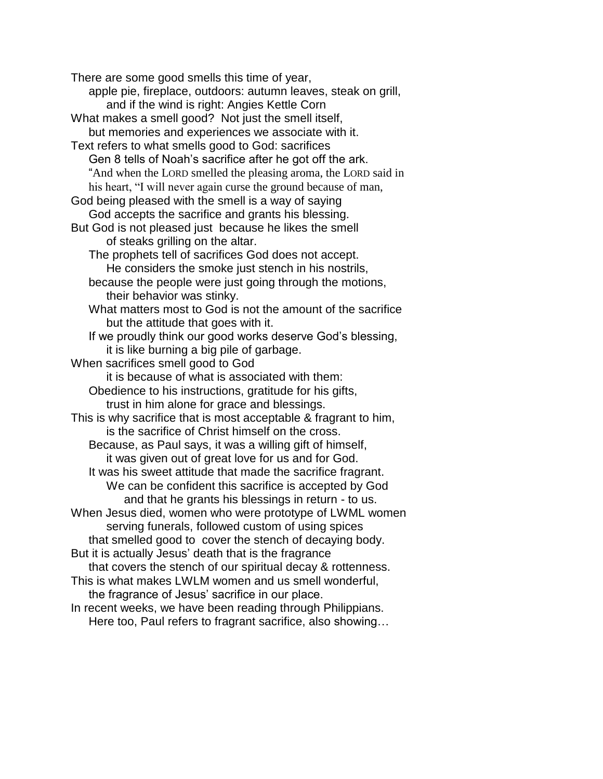There are some good smells this time of year, apple pie, fireplace, outdoors: autumn leaves, steak on grill, and if the wind is right: Angies Kettle Corn What makes a smell good? Not just the smell itself, but memories and experiences we associate with it. Text refers to what smells good to God: sacrifices Gen 8 tells of Noah's sacrifice after he got off the ark. "And when the LORD smelled the pleasing aroma, the LORD said in his heart, "I will never again curse the ground because of man, God being pleased with the smell is a way of saying God accepts the sacrifice and grants his blessing. But God is not pleased just because he likes the smell of steaks grilling on the altar. The prophets tell of sacrifices God does not accept. He considers the smoke just stench in his nostrils, because the people were just going through the motions, their behavior was stinky. What matters most to God is not the amount of the sacrifice but the attitude that goes with it. If we proudly think our good works deserve God's blessing, it is like burning a big pile of garbage. When sacrifices smell good to God it is because of what is associated with them: Obedience to his instructions, gratitude for his gifts, trust in him alone for grace and blessings. This is why sacrifice that is most acceptable & fragrant to him, is the sacrifice of Christ himself on the cross. Because, as Paul says, it was a willing gift of himself, it was given out of great love for us and for God. It was his sweet attitude that made the sacrifice fragrant. We can be confident this sacrifice is accepted by God and that he grants his blessings in return - to us. When Jesus died, women who were prototype of LWML women serving funerals, followed custom of using spices that smelled good to cover the stench of decaying body. But it is actually Jesus' death that is the fragrance that covers the stench of our spiritual decay & rottenness. This is what makes LWLM women and us smell wonderful, the fragrance of Jesus' sacrifice in our place. In recent weeks, we have been reading through Philippians. Here too, Paul refers to fragrant sacrifice, also showing…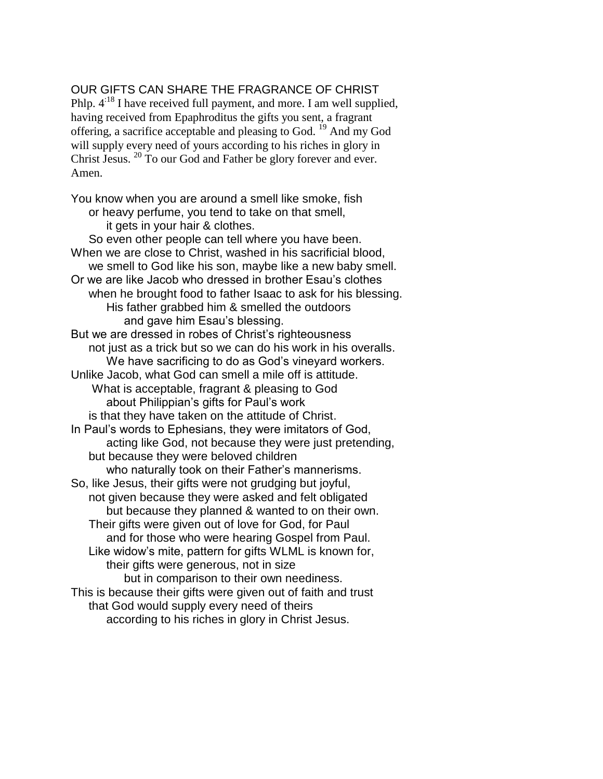# OUR GIFTS CAN SHARE THE FRAGRANCE OF CHRIST

Phlp.  $4^{18}$  I have received full payment, and more. I am well supplied, having received from Epaphroditus the gifts you sent, a fragrant offering, a sacrifice acceptable and pleasing to God. <sup>19</sup> And my God will supply every need of yours according to his riches in glory in Christ Jesus. <sup>20</sup> To our God and Father be glory forever and ever. Amen.

You know when you are around a smell like smoke, fish or heavy perfume, you tend to take on that smell, it gets in your hair & clothes. So even other people can tell where you have been. When we are close to Christ, washed in his sacrificial blood, we smell to God like his son, maybe like a new baby smell. Or we are like Jacob who dressed in brother Esau's clothes when he brought food to father Isaac to ask for his blessing. His father grabbed him & smelled the outdoors and gave him Esau's blessing. But we are dressed in robes of Christ's righteousness not just as a trick but so we can do his work in his overalls. We have sacrificing to do as God's vineyard workers. Unlike Jacob, what God can smell a mile off is attitude. What is acceptable, fragrant & pleasing to God about Philippian's gifts for Paul's work is that they have taken on the attitude of Christ. In Paul's words to Ephesians, they were imitators of God, acting like God, not because they were just pretending, but because they were beloved children who naturally took on their Father's mannerisms. So, like Jesus, their gifts were not grudging but joyful, not given because they were asked and felt obligated but because they planned & wanted to on their own. Their gifts were given out of love for God, for Paul and for those who were hearing Gospel from Paul. Like widow's mite, pattern for gifts WLML is known for, their gifts were generous, not in size but in comparison to their own neediness. This is because their gifts were given out of faith and trust that God would supply every need of theirs according to his riches in glory in Christ Jesus.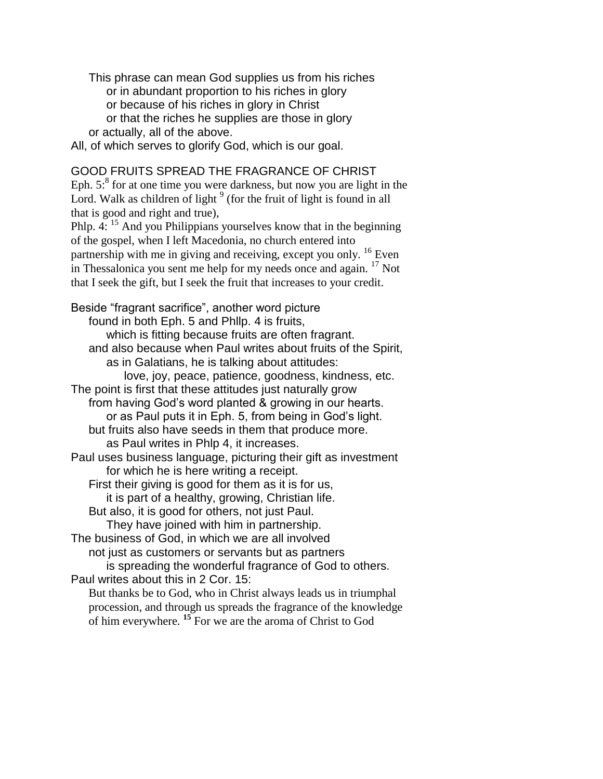This phrase can mean God supplies us from his riches or in abundant proportion to his riches in glory or because of his riches in glory in Christ or that the riches he supplies are those in glory or actually, all of the above.

All, of which serves to glorify God, which is our goal.

## GOOD FRUITS SPREAD THE FRAGRANCE OF CHRIST

Eph.  $5$ :<sup>8</sup> for at one time you were darkness, but now you are light in the Lord. Walk as children of light  $9$  (for the fruit of light is found in all that is good and right and true),

Phlp. 4: <sup>15</sup> And you Philippians yourselves know that in the beginning of the gospel, when I left Macedonia, no church entered into partnership with me in giving and receiving, except you only. <sup>16</sup> Even in Thessalonica you sent me help for my needs once and again.  $^{17}$  Not that I seek the gift, but I seek the fruit that increases to your credit.

Beside "fragrant sacrifice", another word picture found in both Eph. 5 and Phllp. 4 is fruits, which is fitting because fruits are often fragrant. and also because when Paul writes about fruits of the Spirit, as in Galatians, he is talking about attitudes: love, joy, peace, patience, goodness, kindness, etc. The point is first that these attitudes just naturally grow from having God's word planted & growing in our hearts. or as Paul puts it in Eph. 5, from being in God's light. but fruits also have seeds in them that produce more. as Paul writes in Phlp 4, it increases. Paul uses business language, picturing their gift as investment for which he is here writing a receipt. First their giving is good for them as it is for us, it is part of a healthy, growing, Christian life. But also, it is good for others, not just Paul. They have joined with him in partnership. The business of God, in which we are all involved not just as customers or servants but as partners is spreading the wonderful fragrance of God to others. Paul writes about this in 2 Cor. 15: But thanks be to God, who in Christ always leads us in triumphal procession, and through us spreads the fragrance of the knowledge of him everywhere. **<sup>15</sup>** For we are the aroma of Christ to God